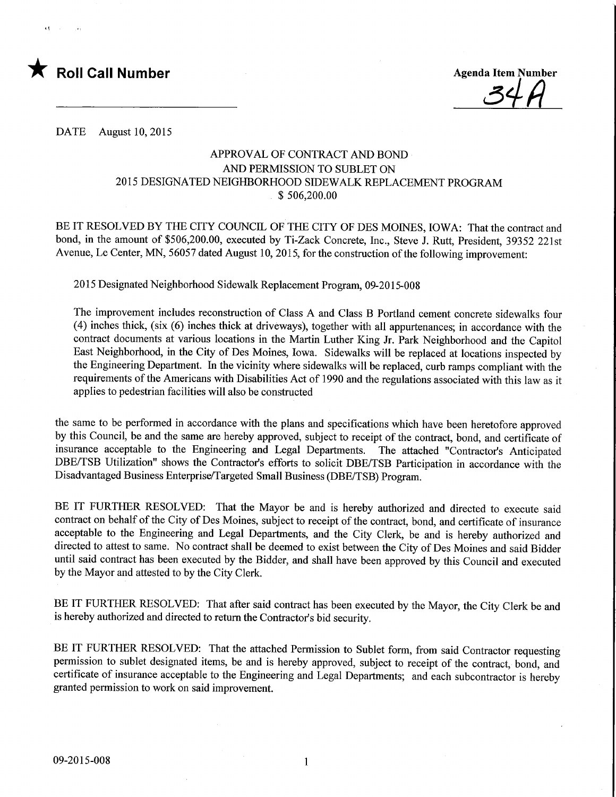

**Agenda Item Number** 

DATE August 10, 2015

## APPROVAL OF CONTRACT AND BOND AND PERMISSION TO SUBLET ON 2015 DESIGNATED NEIGHBORHOOD SIDEWALK REPLACEMENT PROGRAM \$ 506,200.00

BE IT RESOLVED BY THE CITY COUNCIL OF THE CITY OF DES MOINES, IOWA: That the contract and bond, in the amount of \$506,200.00, executed by Ti-Zack Concrete, Inc., Steve J. Rutt, President, 39352 221st Avenue, Le Center, MN, 56057 dated August 10, 2015, for the construction of the following improvement:

2015 Designated Neighborhood Sidewalk Replacement Program, 09-2015-008

The improvement includes reconstruction of Class A and Class B Portland cement concrete sidewalks four (4) inches thick, (six (6) inches thick at driveways), together with all appurtenances; in accordance with the contract documents at various locations in the Martin Luther King Jr. Park Neighborhood and the Capitol East Neighborhood, in the City of Des Moines, Iowa. Sidewalks will be replaced at locations inspected by the Engineering Department. In the vicinity where sidewalks will be replaced, curb ramps compliant with the requirements of the Americans with Disabilities Act of 1990 and the regulations associated with this law as it applies to pedestrian facilities will also be constructed

the same to be performed in accordance with the plans and specifications which have been heretofore approved by this Council, be and the same are hereby approved, subject to receipt of the contract, bond, and certificate of insurance acceptable to the Engineering and Legal Departments. The attached "Contractor's Anticipated DBE/TSB Utilization" shows the Contractor's efforts to solicit DBE/TSB Participation in accordance with the Disadvantaged Business Enterprise/Targeted Small Business (DBE/TSB) Program.

BE IT FURTHER RESOLVED: That the Mayor be and is hereby authorized and directed to execute said contract on behalf of the City of Des Moines, subject to receipt of the contract, bond, and certificate of insurance acceptable to the Engineering and Legal Departments, and the City Clerk, be and is hereby authorized and directed to attest to same. No contract shall be deemed to exist between the City of Des Moines and said Bidder until said contract has been executed by the Bidder, and shall have been approved by this Council and executed by the Mayor and attested to by the City Clerk.

BE IT FURTHER RESOLVED: That after said contract has been executed by the Mayor, the City Clerk be and is hereby authorized and directed to return the Contractor's bid security.

BE IT FURTHER RESOLVED: That the attached Permission to Sublet form, from said Contractor requesting permission to sublet designated items, be and is hereby approved, subject to receipt of the contract, bond, and certificate of insurance acceptable to the Engineering and Legal Departments; and each subcontractor is hereby granted permission to work on said improvement.

 $\mathbf{1}$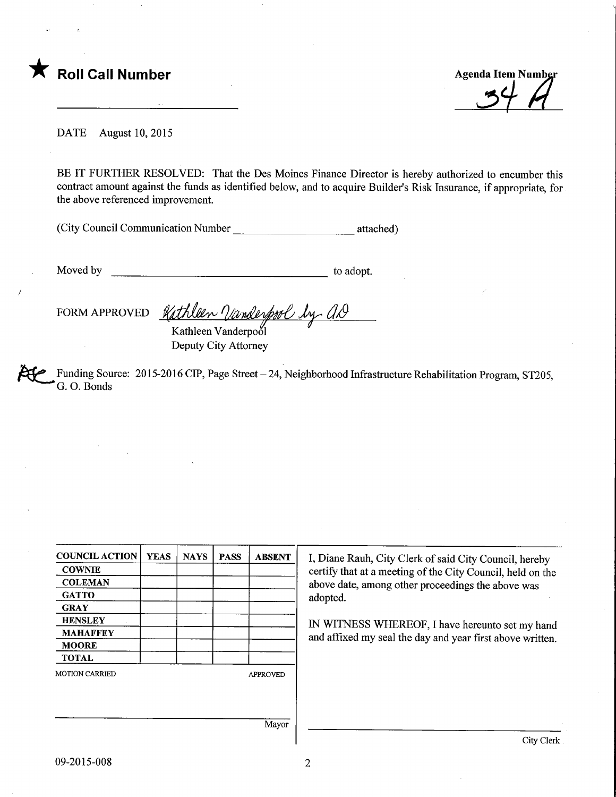

DATE August 10, 2015

BE IT FURTHER RESOLVED: That the Des Moines Finance Director is hereby authorized to encumber this contract amount against the funds as identified below, and to acquire Builder's Risk Insurance, if appropriate, for the above referenced improvement.

(City Council Communication Number attached)

Moved by to adopt.

FORM APPROVED Kathleen Vanderpool by as t*thleen <u>V</u>anderpool by*<br>Kathleen Vanderpool

Deputy City Attorney

Funding Source: 2015-2016 CIP, Page Street - 24, Neighborhood Infrastructure Rehabilitation Program, ST205, G. 0. Bonds

| <b>COUNCIL ACTION</b> | <b>YEAS</b> | <b>NAYS</b> | <b>PASS</b> | <b>ABSENT</b>   | I, Diane Rauh, City Clerk of said City Council, hereby                                                          |  |  |
|-----------------------|-------------|-------------|-------------|-----------------|-----------------------------------------------------------------------------------------------------------------|--|--|
| <b>COWNIE</b>         |             |             |             |                 | certify that at a meeting of the City Council, held on the<br>above date, among other proceedings the above was |  |  |
| <b>COLEMAN</b>        |             |             |             |                 |                                                                                                                 |  |  |
| <b>GATTO</b>          |             |             |             |                 | adopted.                                                                                                        |  |  |
| <b>GRAY</b>           |             |             |             |                 |                                                                                                                 |  |  |
| <b>HENSLEY</b>        |             |             |             |                 | IN WITNESS WHEREOF, I have hereunto set my hand<br>and affixed my seal the day and year first above written.    |  |  |
| <b>MAHAFFEY</b>       |             |             |             |                 |                                                                                                                 |  |  |
| <b>MOORE</b>          |             |             |             |                 |                                                                                                                 |  |  |
| <b>TOTAL</b>          |             |             |             |                 |                                                                                                                 |  |  |
| <b>MOTION CARRIED</b> |             |             |             | <b>APPROVED</b> |                                                                                                                 |  |  |
|                       |             |             |             |                 |                                                                                                                 |  |  |
|                       |             |             |             |                 |                                                                                                                 |  |  |
|                       | Mayor       |             |             |                 |                                                                                                                 |  |  |
|                       |             |             |             |                 | City Clerk                                                                                                      |  |  |

 $\overline{2}$